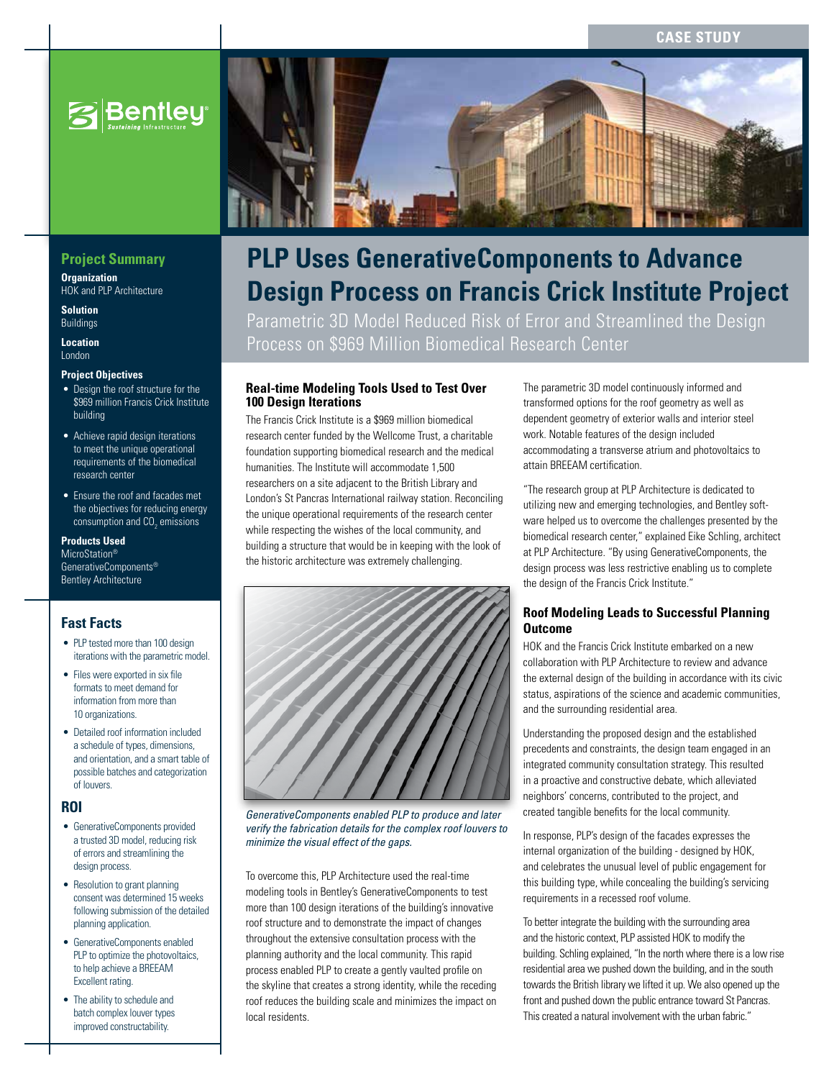# **Case Study**



# **Project Summary**

**Organization** HOK and PLP Architecture

**Solution** Buildings

**Location** London

#### **Project Objectives**

- Design the roof structure for the \$969 million Francis Crick Institute building
- Achieve rapid design iterations to meet the unique operational requirements of the biomedical research center
- Ensure the roof and facades met the objectives for reducing energy consumption and CO $_{\rm 2}$  emissions

#### **Products Used**

MicroStation® GenerativeComponents® Bentley Architecture

# **Fast Facts**

- PLP tested more than 100 design iterations with the parametric model.
- Files were exported in six file formats to meet demand for information from more than 10 organizations.
- • Detailed roof information included a schedule of types, dimensions, and orientation, and a smart table of possible batches and categorization of louvers.

#### **ROI**

- • GenerativeComponents provided a trusted 3D model, reducing risk of errors and streamlining the design process.
- Resolution to grant planning consent was determined 15 weeks following submission of the detailed planning application.
- • GenerativeComponents enabled PLP to optimize the photovoltaics, to help achieve a BREEAM Excellent rating.
- The ability to schedule and batch complex louver types improved constructability.



# **PLP Uses GenerativeComponents to Advance Design Process on Francis Crick Institute Project**

Parametric 3D Model Reduced Risk of Error and Streamlined the Design Process on \$969 Million Biomedical Research Center

### **Real-time Modeling Tools Used to Test Over 100 Design Iterations**

The Francis Crick Institute is a \$969 million biomedical research center funded by the Wellcome Trust, a charitable foundation supporting biomedical research and the medical humanities. The Institute will accommodate 1,500 researchers on a site adjacent to the British Library and London's St Pancras International railway station. Reconciling the unique operational requirements of the research center while respecting the wishes of the local community, and building a structure that would be in keeping with the look of the historic architecture was extremely challenging.



*GenerativeComponents enabled PLP to produce and later verify the fabrication details for the complex roof louvers to minimize the visual effect of the gaps.*

To overcome this, PLP Architecture used the real-time modeling tools in Bentley's GenerativeComponents to test more than 100 design iterations of the building's innovative roof structure and to demonstrate the impact of changes throughout the extensive consultation process with the planning authority and the local community. This rapid process enabled PLP to create a gently vaulted profile on the skyline that creates a strong identity, while the receding roof reduces the building scale and minimizes the impact on local residents.

The parametric 3D model continuously informed and transformed options for the roof geometry as well as dependent geometry of exterior walls and interior steel work. Notable features of the design included accommodating a transverse atrium and photovoltaics to attain BREEAM certification.

"The research group at PLP Architecture is dedicated to utilizing new and emerging technologies, and Bentley software helped us to overcome the challenges presented by the biomedical research center," explained Eike Schling, architect at PLP Architecture. "By using GenerativeComponents, the design process was less restrictive enabling us to complete the design of the Francis Crick Institute."

# **Roof Modeling Leads to Successful Planning Outcome**

HOK and the Francis Crick Institute embarked on a new collaboration with PLP Architecture to review and advance the external design of the building in accordance with its civic status, aspirations of the science and academic communities, and the surrounding residential area.

Understanding the proposed design and the established precedents and constraints, the design team engaged in an integrated community consultation strategy. This resulted in a proactive and constructive debate, which alleviated neighbors' concerns, contributed to the project, and created tangible benefits for the local community.

In response, PLP's design of the facades expresses the internal organization of the building - designed by HOK, and celebrates the unusual level of public engagement for this building type, while concealing the building's servicing requirements in a recessed roof volume.

To better integrate the building with the surrounding area and the historic context, PLP assisted HOK to modify the building. Schling explained, "In the north where there is a low rise residential area we pushed down the building, and in the south towards the British library we lifted it up. We also opened up the front and pushed down the public entrance toward St Pancras. This created a natural involvement with the urban fabric."